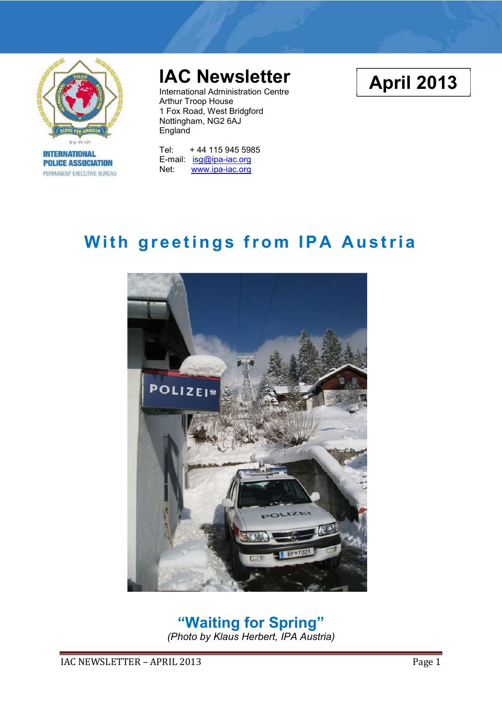

**INTERNATIONAL POLICE ASSOCIATION** PERMANENT EXECUTIVE BUREAU

# **IAC Newsletter**

International Administration Centre Arthur Troop House 1 Fox Road, West Bridgford Nottingham, NG2 6AJ England

Tel: + 44 115 945 5985 E-mail: isg@ipa-iac.org Net: www.ipa-iac.org

# **With greetings from IPA Austria**



# **"Waiting for Spring"**

*(Photo by Klaus Herbert, IPA Austria)* 

**April 2013**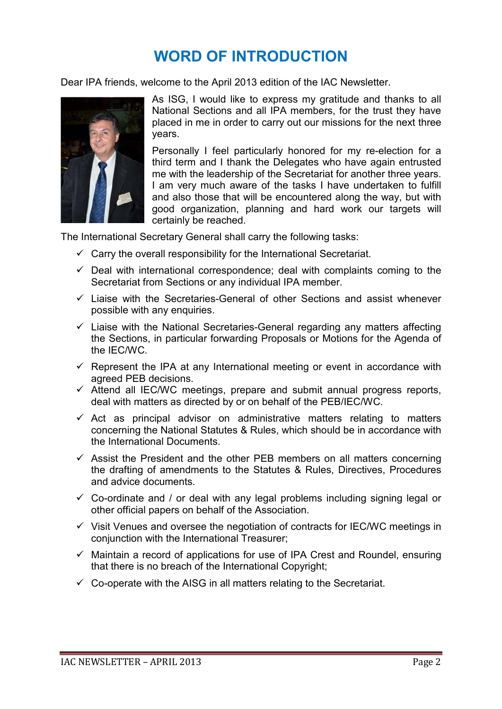### **WORD OF INTRODUCTION**

Dear IPA friends, welcome to the April 2013 edition of the IAC Newsletter.



As ISG, I would like to express my gratitude and thanks to all National Sections and all IPA members, for the trust they have placed in me in order to carry out our missions for the next three years.

Personally I feel particularly honored for my re-election for a third term and I thank the Delegates who have again entrusted me with the leadership of the Secretariat for another three years. I am very much aware of the tasks I have undertaken to fulfill and also those that will be encountered along the way, but with good organization, planning and hard work our targets will certainly be reached.

The International Secretary General shall carry the following tasks:

- $\checkmark$  Carry the overall responsibility for the International Secretariat.
- $\checkmark$  Deal with international correspondence; deal with complaints coming to the Secretariat from Sections or any individual IPA member.
- $\checkmark$  Liaise with the Secretaries-General of other Sections and assist whenever possible with any enquiries.
- $\checkmark$  Liaise with the National Secretaries-General regarding any matters affecting the Sections, in particular forwarding Proposals or Motions for the Agenda of the IEC/WC.
- $\checkmark$  Represent the IPA at any International meeting or event in accordance with agreed PEB decisions.
- $\checkmark$  Attend all IEC/WC meetings, prepare and submit annual progress reports, deal with matters as directed by or on behalf of the PEB/IEC/WC.
- $\checkmark$  Act as principal advisor on administrative matters relating to matters concerning the National Statutes & Rules, which should be in accordance with the International Documents.
- $\checkmark$  Assist the President and the other PEB members on all matters concerning the drafting of amendments to the Statutes & Rules, Directives, Procedures and advice documents.
- $\checkmark$  Co-ordinate and / or deal with any legal problems including signing legal or other official papers on behalf of the Association.
- $\checkmark$  Visit Venues and oversee the negotiation of contracts for IEC/WC meetings in conjunction with the International Treasurer;
- $\checkmark$  Maintain a record of applications for use of IPA Crest and Roundel, ensuring that there is no breach of the International Copyright;
- $\checkmark$  Co-operate with the AISG in all matters relating to the Secretariat.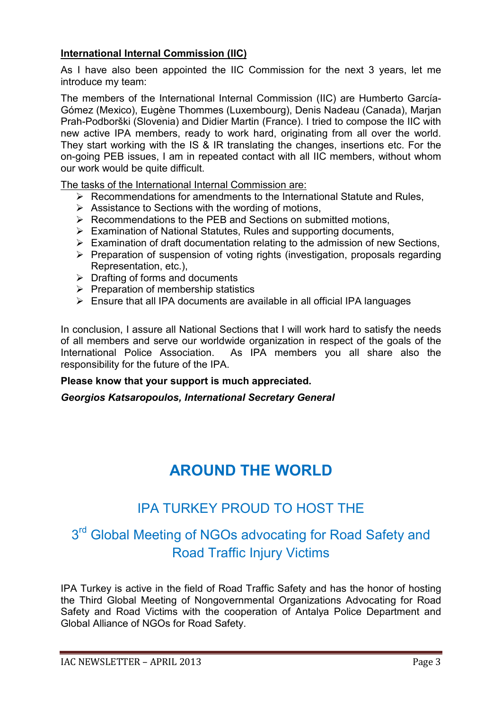#### **International Internal Commission (IIC)**

As I have also been appointed the IIC Commission for the next 3 years, let me introduce my team:

The members of the International Internal Commission (IIC) are Humberto García-Gómez (Mexico), Eugène Thommes (Luxembourg), Denis Nadeau (Canada), Marjan Prah-Podborški (Slovenia) and Didier Martin (France). I tried to compose the IIC with new active IPA members, ready to work hard, originating from all over the world. They start working with the IS & IR translating the changes, insertions etc. For the on-going PEB issues, I am in repeated contact with all IIC members, without whom our work would be quite difficult.

The tasks of the International Internal Commission are:

- ▶ Recommendations for amendments to the International Statute and Rules,
- > Assistance to Sections with the wording of motions,
- > Recommendations to the PEB and Sections on submitted motions,
- > Examination of National Statutes, Rules and supporting documents,
- > Examination of draft documentation relating to the admission of new Sections,
- > Preparation of suspension of voting rights (investigation, proposals regarding Representation, etc.),
- > Drafting of forms and documents
- > Preparation of membership statistics
- > Ensure that all IPA documents are available in all official IPA languages

In conclusion, I assure all National Sections that I will work hard to satisfy the needs of all members and serve our worldwide organization in respect of the goals of the International Police Association. As IPA members you all share also the responsibility for the future of the IPA.

#### **Please know that your support is much appreciated.**

*Georgios Katsaropoulos, International Secretary General* 

## **AROUND THE WORLD**

### IPA TURKEY PROUD TO HOST THE

### 3<sup>rd</sup> Global Meeting of NGOs advocating for Road Safety and Road Traffic Injury Victims

IPA Turkey is active in the field of Road Traffic Safety and has the honor of hosting the Third Global Meeting of Nongovernmental Organizations Advocating for Road Safety and Road Victims with the cooperation of Antalya Police Department and Global Alliance of NGOs for Road Safety.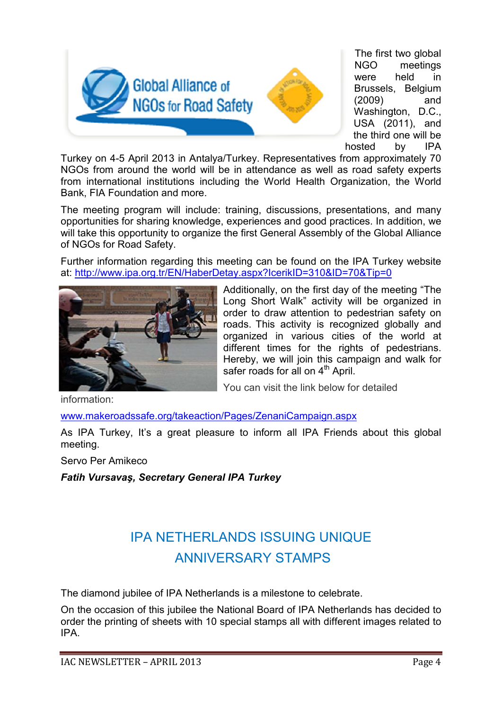

The first two global NGO meetings were held in Brussels, Belgium (2009) and Washington, D.C., USA (2011), and the third one will be hosted by IPA

Turkey on 4-5 April 2013 in Antalya/Turkey. Representatives from approximately 70 NGOs from around the world will be in attendance as well as road safety experts from international institutions including the World Health Organization, the World Bank, FIA Foundation and more.

The meeting program will include: training, discussions, presentations, and many opportunities for sharing knowledge, experiences and good practices. In addition, we will take this opportunity to organize the first General Assembly of the Global Alliance of NGOs for Road Safety.

Further information regarding this meeting can be found on the IPA Turkey website at: http://www.ipa.org.tr/EN/HaberDetay.aspx?IcerikID=310&ID=70&Tip=0



Additionally, on the first day of the meeting "The Long Short Walk" activity will be organized in order to draw attention to pedestrian safety on roads. This activity is recognized globally and organized in various cities of the world at different times for the rights of pedestrians. Hereby, we will join this campaign and walk for safer roads for all on  $4<sup>th</sup>$  April.

You can visit the link below for detailed

information:

www.makeroadssafe.org/takeaction/Pages/ZenaniCampaign.aspx

As IPA Turkey, It's a great pleasure to inform all IPA Friends about this global meeting.

Servo Per Amikeco

*Fatih Vursavaş, Secretary General IPA Turkey* 

## IPA NETHERLANDS ISSUING UNIQUE ANNIVERSARY STAMPS

The diamond jubilee of IPA Netherlands is a milestone to celebrate.

On the occasion of this jubilee the National Board of IPA Netherlands has decided to order the printing of sheets with 10 special stamps all with different images related to IPA.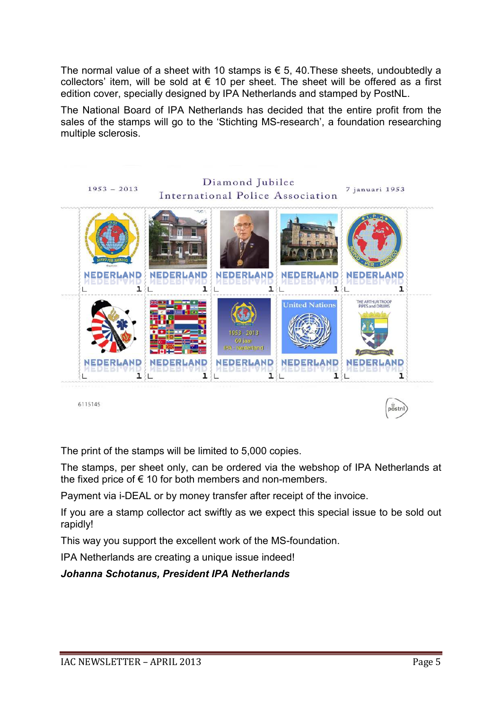The normal value of a sheet with 10 stamps is  $\epsilon$  5, 40. These sheets, undoubtedly a collectors' item, will be sold at  $\epsilon$  10 per sheet. The sheet will be offered as a first edition cover, specially designed by IPA Netherlands and stamped by PostNL.

The National Board of IPA Netherlands has decided that the entire profit from the sales of the stamps will go to the 'Stichting MS-research', a foundation researching multiple sclerosis.



6115145

The print of the stamps will be limited to 5,000 copies.

The stamps, per sheet only, can be ordered via the webshop of IPA Netherlands at the fixed price of  $\epsilon$  10 for both members and non-members.

Payment via i-DEAL or by money transfer after receipt of the invoice.

If you are a stamp collector act swiftly as we expect this special issue to be sold out rapidly!

This way you support the excellent work of the MS-foundation.

IPA Netherlands are creating a unique issue indeed!

*Johanna Schotanus, President IPA Netherlands*

 $p\ddot{\overline{o}}$ stnl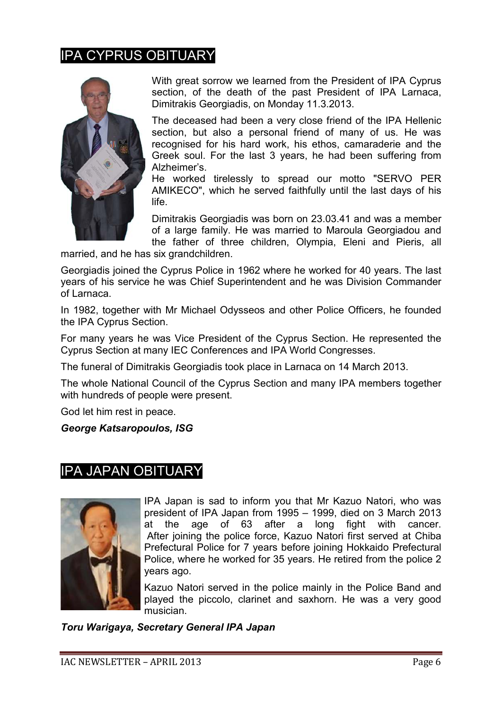#### IPA CYPRUS OBITUARY



With great sorrow we learned from the President of IPA Cyprus section, of the death of the past President of IPA Larnaca, Dimitrakis Georgiadis, on Monday 11.3.2013.

The deceased had been a very close friend of the IPA Hellenic section, but also a personal friend of many of us. He was recognised for his hard work, his ethos, camaraderie and the Greek soul. For the last 3 years, he had been suffering from Alzheimer's.

He worked tirelessly to spread our motto "SERVO PER AMIKECO", which he served faithfully until the last days of his life.

Dimitrakis Georgiadis was born on 23.03.41 and was a member of a large family. He was married to Maroula Georgiadou and the father of three children, Olympia, Eleni and Pieris, all

married, and he has six grandchildren.

Georgiadis joined the Cyprus Police in 1962 where he worked for 40 years. The last years of his service he was Chief Superintendent and he was Division Commander of Larnaca.

In 1982, together with Mr Michael Odysseos and other Police Officers, he founded the IPA Cyprus Section.

For many years he was Vice President of the Cyprus Section. He represented the Cyprus Section at many IEC Conferences and IPA World Congresses.

The funeral of Dimitrakis Georgiadis took place in Larnaca on 14 March 2013.

The whole National Council of the Cyprus Section and many IPA members together with hundreds of people were present.

God let him rest in peace.

*George Katsaropoulos, ISG* 

#### IPA JAPAN OBITUARY



IPA Japan is sad to inform you that Mr Kazuo Natori, who was president of IPA Japan from 1995 – 1999, died on 3 March 2013 at the age of 63 after a long fight with cancer. After joining the police force, Kazuo Natori first served at Chiba Prefectural Police for 7 years before joining Hokkaido Prefectural Police, where he worked for 35 years. He retired from the police 2 years ago.

Kazuo Natori served in the police mainly in the Police Band and played the piccolo, clarinet and saxhorn. He was a very good musician.

*Toru Warigaya, Secretary General IPA Japan*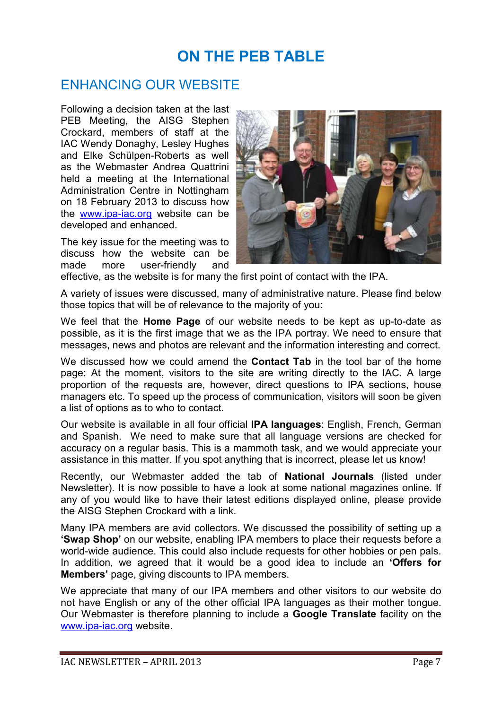## **ON THE PEB TABLE**

#### ENHANCING OUR WEBSITE

Following a decision taken at the last PEB Meeting, the AISG Stephen Crockard, members of staff at the IAC Wendy Donaghy, Lesley Hughes and Elke Schülpen-Roberts as well as the Webmaster Andrea Quattrini held a meeting at the International Administration Centre in Nottingham on 18 February 2013 to discuss how the www.ipa-iac.org website can be developed and enhanced.

The key issue for the meeting was to discuss how the website can be made more user-friendly and



effective, as the website is for many the first point of contact with the IPA.

A variety of issues were discussed, many of administrative nature. Please find below those topics that will be of relevance to the majority of you:

We feel that the **Home Page** of our website needs to be kept as up-to-date as possible, as it is the first image that we as the IPA portray. We need to ensure that messages, news and photos are relevant and the information interesting and correct.

We discussed how we could amend the **Contact Tab** in the tool bar of the home page: At the moment, visitors to the site are writing directly to the IAC. A large proportion of the requests are, however, direct questions to IPA sections, house managers etc. To speed up the process of communication, visitors will soon be given a list of options as to who to contact.

Our website is available in all four official **IPA languages**: English, French, German and Spanish. We need to make sure that all language versions are checked for accuracy on a regular basis. This is a mammoth task, and we would appreciate your assistance in this matter. If you spot anything that is incorrect, please let us know!

Recently, our Webmaster added the tab of **National Journals** (listed under Newsletter). It is now possible to have a look at some national magazines online. If any of you would like to have their latest editions displayed online, please provide the AISG Stephen Crockard with a link.

Many IPA members are avid collectors. We discussed the possibility of setting up a **'Swap Shop'** on our website, enabling IPA members to place their requests before a world-wide audience. This could also include requests for other hobbies or pen pals. In addition, we agreed that it would be a good idea to include an **'Offers for Members'** page, giving discounts to IPA members.

We appreciate that many of our IPA members and other visitors to our website do not have English or any of the other official IPA languages as their mother tongue. Our Webmaster is therefore planning to include a **Google Translate** facility on the www.ipa-iac.org website.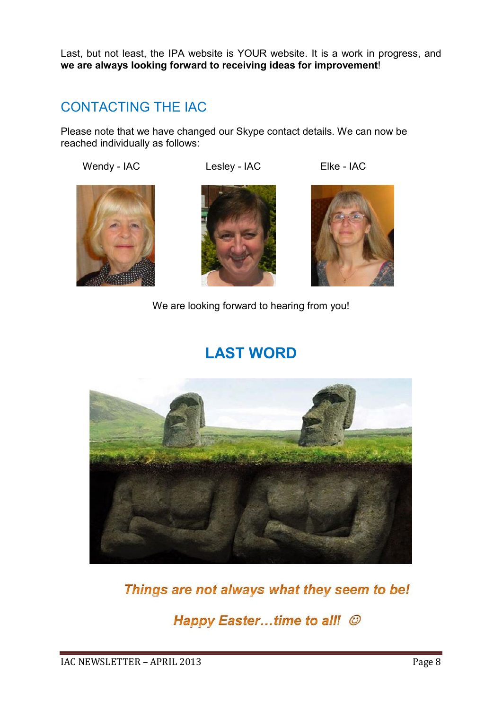Last, but not least, the IPA website is YOUR website. It is a work in progress, and **we are always looking forward to receiving ideas for improvement**!

### CONTACTING THE IAC

Please note that we have changed our Skype contact details. We can now be reached individually as follows:

Wendy - IAC Lesley - IAC Elke - IAC







We are looking forward to hearing from you!

## **LAST WORD**



Things are not always what they seem to be!

Happy Easter...time to all! ©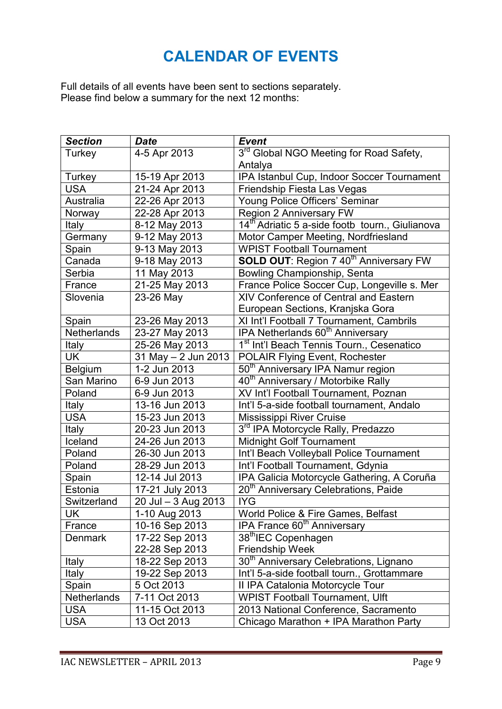## **CALENDAR OF EVENTS**

Full details of all events have been sent to sections separately. Please find below a summary for the next 12 months:

| <b>Section</b>     | <b>Date</b>             | <b>Event</b>                                                |  |  |
|--------------------|-------------------------|-------------------------------------------------------------|--|--|
| Turkey             | 4-5 Apr 2013            | 3 <sup>rd</sup> Global NGO Meeting for Road Safety,         |  |  |
|                    |                         | Antalya                                                     |  |  |
| Turkey             | 15-19 Apr 2013          | IPA Istanbul Cup, Indoor Soccer Tournament                  |  |  |
| <b>USA</b>         | 21-24 Apr 2013          | Friendship Fiesta Las Vegas                                 |  |  |
| Australia          | 22-26 Apr 2013          | Young Police Officers' Seminar                              |  |  |
| Norway             | 22-28 Apr 2013          | Region 2 Anniversary FW                                     |  |  |
| Italy              | 8-12 May 2013           | 14 <sup>th</sup> Adriatic 5 a-side footb tourn., Giulianova |  |  |
| Germany            | 9-12 May 2013           | Motor Camper Meeting, Nordfriesland                         |  |  |
| Spain              | 9-13 May 2013           | <b>WPIST Football Tournament</b>                            |  |  |
| Canada             | 9-18 May 2013           | <b>SOLD OUT: Region 7 40<sup>th</sup> Anniversary FW</b>    |  |  |
| Serbia             | 11 May 2013             | Bowling Championship, Senta                                 |  |  |
| France             | 21-25 May 2013          | France Police Soccer Cup, Longeville s. Mer                 |  |  |
| Slovenia           | 23-26 May               | XIV Conference of Central and Eastern                       |  |  |
|                    |                         | European Sections, Kranjska Gora                            |  |  |
| Spain              | 23-26 May 2013          | XI Int'l Football 7 Tournament, Cambrils                    |  |  |
| Netherlands        | 23-27 May 2013          | IPA Netherlands 60 <sup>th</sup> Anniversary                |  |  |
| Italy              | 25-26 May 2013          | 1 <sup>st</sup> Int'l Beach Tennis Tourn., Cesenatico       |  |  |
| UK                 | $31$ May $- 2$ Jun 2013 | POLAIR Flying Event, Rochester                              |  |  |
| Belgium            | 1-2 Jun 2013            | 50 <sup>th</sup> Anniversary IPA Namur region               |  |  |
| San Marino         | 6-9 Jun 2013            | 40 <sup>th</sup> Anniversary / Motorbike Rally              |  |  |
| Poland             | 6-9 Jun 2013            | XV Int'l Football Tournament, Poznan                        |  |  |
| Italy              | 13-16 Jun 2013          | Int'l 5-a-side football tournament, Andalo                  |  |  |
| <b>USA</b>         | 15-23 Jun 2013          | <b>Mississippi River Cruise</b>                             |  |  |
| <b>Italy</b>       | 20-23 Jun 2013          | 3rd IPA Motorcycle Rally, Predazzo                          |  |  |
| Iceland            | 24-26 Jun 2013          | <b>Midnight Golf Tournament</b>                             |  |  |
| Poland             | 26-30 Jun 2013          | Int'l Beach Volleyball Police Tournament                    |  |  |
| Poland             | 28-29 Jun 2013          | Int'l Football Tournament, Gdynia                           |  |  |
| Spain              | 12-14 Jul 2013          | IPA Galicia Motorcycle Gathering, A Coruña                  |  |  |
| Estonia            | 17-21 July 2013         | 20 <sup>th</sup> Anniversary Celebrations, Paide            |  |  |
| Switzerland        | 20 Jul - 3 Aug 2013     | <b>IYG</b>                                                  |  |  |
| UK                 | 1-10 Aug 2013           | World Police & Fire Games, Belfast                          |  |  |
| France             | 10-16 Sep 2013          | IPA France 60 <sup>th</sup> Anniversary                     |  |  |
| <b>Denmark</b>     | 17-22 Sep 2013          | 38 <sup>th</sup> IEC Copenhagen                             |  |  |
|                    | 22-28 Sep 2013          | <b>Friendship Week</b>                                      |  |  |
| <b>Italy</b>       | 18-22 Sep 2013          | 30 <sup>th</sup> Anniversary Celebrations, Lignano          |  |  |
| Italy              | 19-22 Sep 2013          | Int'l 5-a-side football tourn., Grottammare                 |  |  |
| Spain              | 5 Oct 2013              | II IPA Catalonia Motorcycle Tour                            |  |  |
| <b>Netherlands</b> | 7-11 Oct 2013           | <b>WPIST Football Tournament, Ulft</b>                      |  |  |
| <b>USA</b>         | 11-15 Oct 2013          | 2013 National Conference, Sacramento                        |  |  |
| <b>USA</b>         | 13 Oct 2013             | Chicago Marathon + IPA Marathon Party                       |  |  |